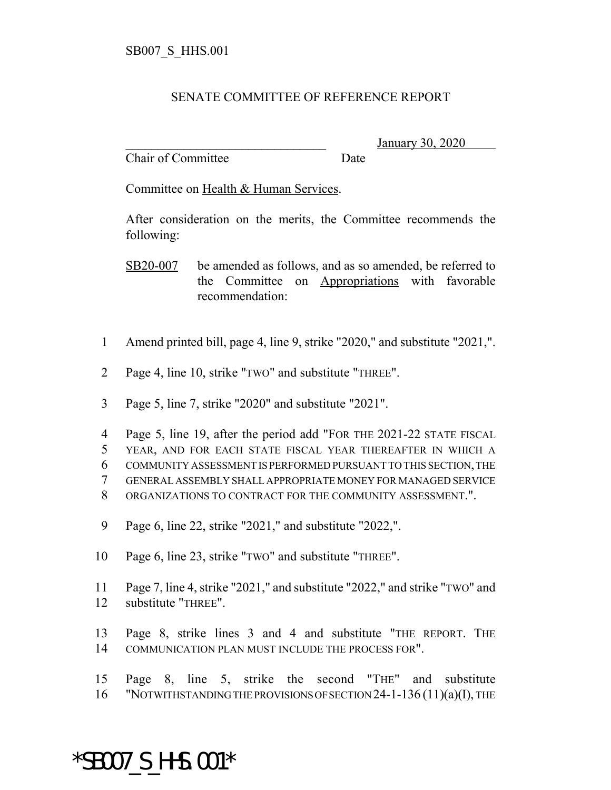## SENATE COMMITTEE OF REFERENCE REPORT

Chair of Committee Date

\_\_\_\_\_\_\_\_\_\_\_\_\_\_\_\_\_\_\_\_\_\_\_\_\_\_\_\_\_\_\_ January 30, 2020

Committee on Health & Human Services.

After consideration on the merits, the Committee recommends the following:

SB20-007 be amended as follows, and as so amended, be referred to the Committee on Appropriations with favorable recommendation:

- 1 Amend printed bill, page 4, line 9, strike "2020," and substitute "2021,".
- 2 Page 4, line 10, strike "TWO" and substitute "THREE".
- 3 Page 5, line 7, strike "2020" and substitute "2021".
- 4 Page 5, line 19, after the period add "FOR THE 2021-22 STATE FISCAL 5 YEAR, AND FOR EACH STATE FISCAL YEAR THEREAFTER IN WHICH A 6 COMMUNITY ASSESSMENT IS PERFORMED PURSUANT TO THIS SECTION, THE 7 GENERAL ASSEMBLY SHALL APPROPRIATE MONEY FOR MANAGED SERVICE 8 ORGANIZATIONS TO CONTRACT FOR THE COMMUNITY ASSESSMENT.".
- 9 Page 6, line 22, strike "2021," and substitute "2022,".
- 10 Page 6, line 23, strike "TWO" and substitute "THREE".
- 11 Page 7, line 4, strike "2021," and substitute "2022," and strike "TWO" and 12 substitute "THREE".
- 13 Page 8, strike lines 3 and 4 and substitute "THE REPORT. THE 14 COMMUNICATION PLAN MUST INCLUDE THE PROCESS FOR".
- 15 Page 8, line 5, strike the second "THE" and substitute 16 "NOTWITHSTANDING THE PROVISIONS OF SECTION 24-1-136 (11)(a)(I), THE

## \*SB007\_S\_HHS.001\*